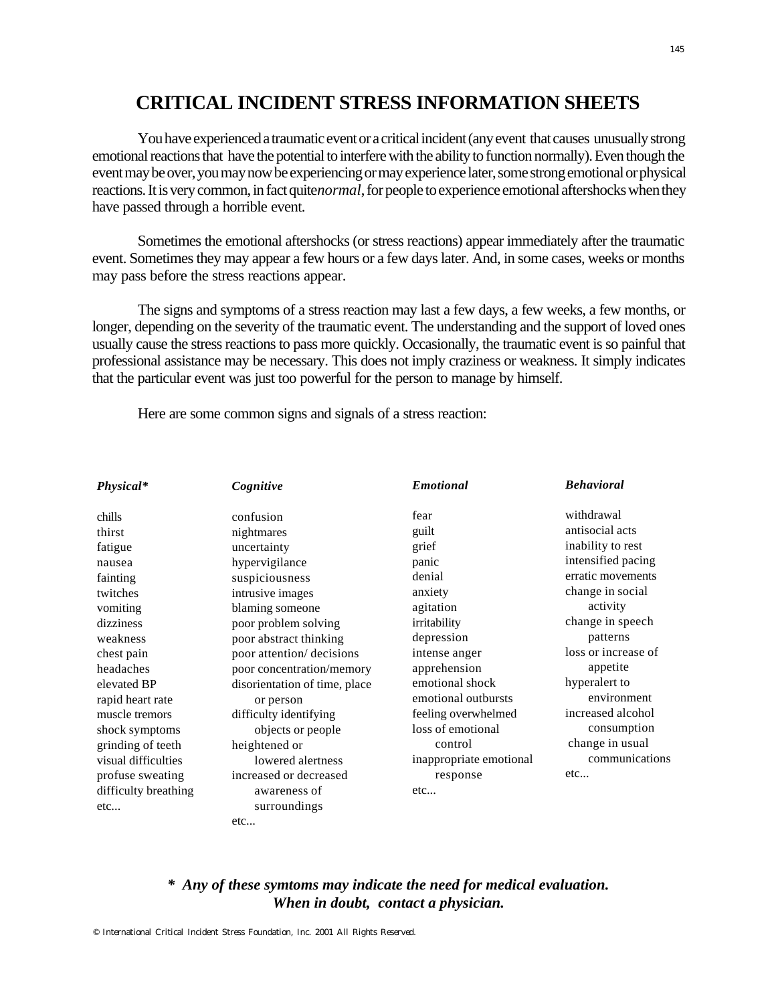## **CRITICAL INCIDENT STRESS INFORMATION SHEETS**

You have experienced a traumatic event or a critical incident (any event that causes unusually strong emotional reactions that have the potential to interfere with the ability to function normally). Even though the event may be over, you may now be experiencing or may experience later, some strong emotional or physical reactions. It is very common, in fact quite *normal*, for people to experience emotional aftershocks when they have passed through a horrible event.

Sometimes the emotional aftershocks (or stress reactions) appear immediately after the traumatic event. Sometimes they may appear a few hours or a few days later. And, in some cases, weeks or months may pass before the stress reactions appear.

The signs and symptoms of a stress reaction may last a few days, a few weeks, a few months, or longer, depending on the severity of the traumatic event. The understanding and the support of loved ones usually cause the stress reactions to pass more quickly. Occasionally, the traumatic event is so painful that professional assistance may be necessary. This does not imply craziness or weakness. It simply indicates that the particular event was just too powerful for the person to manage by himself.

Here are some common signs and signals of a stress reaction:

| Physical*            | Cognitive                     | <b>Emotional</b>        | <b>Behavioral</b>   |
|----------------------|-------------------------------|-------------------------|---------------------|
| chills               | confusion                     | fear                    | withdrawal          |
| thirst               | nightmares                    | guilt                   | antisocial acts     |
| fatigue              | uncertainty                   | grief                   | inability to rest   |
| nausea               | hypervigilance                | panic                   | intensified pacing  |
| fainting             | suspiciousness                | denial                  | erratic movements   |
| twitches             | intrusive images              | anxiety                 | change in social    |
| vomiting             | blaming someone               | agitation               | activity            |
| dizziness            | poor problem solving          | irritability            | change in speech    |
| weakness             | poor abstract thinking        | depression              | patterns            |
| chest pain           | poor attention/ decisions     | intense anger           | loss or increase of |
| headaches            | poor concentration/memory     | apprehension            | appetite            |
| elevated BP          | disorientation of time, place | emotional shock         | hyperalert to       |
| rapid heart rate     | or person                     | emotional outbursts     | environment         |
| muscle tremors       | difficulty identifying        | feeling overwhelmed     | increased alcohol   |
| shock symptoms       | objects or people             | loss of emotional       | consumption         |
| grinding of teeth    | heightened or                 | control                 | change in usual     |
| visual difficulties  | lowered alertness             | inappropriate emotional | communications      |
| profuse sweating     | increased or decreased        | response                | etc                 |
| difficulty breathing | awareness of                  | etc                     |                     |
| etc                  | surroundings                  |                         |                     |
|                      | etc                           |                         |                     |

## *\* Any of these symtoms may indicate the need for medical evaluation. When in doubt, contact a physician.*

 $O$  International Critical Incident Stress Foundation, Inc. 2001 All Rights Reserved.